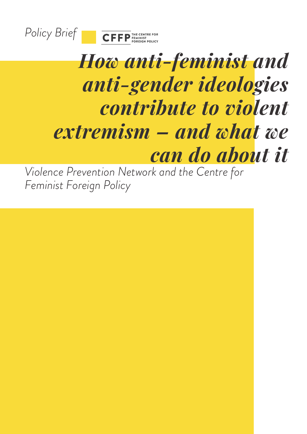



# *How anti-feminist and anti-gender ideologies contribute to violent extremism – and what we can do about it*

*Violence Prevention Network and the Centre for Feminist Foreign Policy*

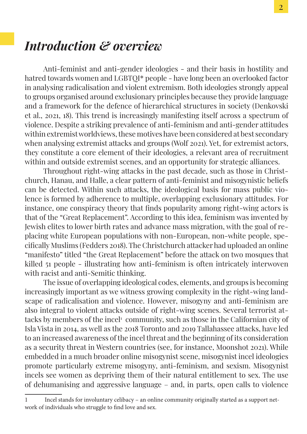### *Introduction & overview*

Anti-feminist and anti-gender ideologies - and their basis in hostility and hatred towards women and LGBTQI\* people - have long been an overlooked factor in analysing radicalisation and violent extremism. Both ideologies strongly appeal to groups organised around exclusionary principles because they provide language and a framework for the defence of hierarchical structures in society (Denkovski et al., 2021, 18). This trend is increasingly manifesting itself across a spectrum of violence. Despite a striking prevalence of anti-feminism and anti-gender attitudes within extremist worldviews, these motives have been considered at best secondary when analysing extremist attacks and groups (Wolf 2021). Yet, for extremist actors, they constitute a core element of their ideologies, a relevant area of recruitment within and outside extremist scenes, and an opportunity for strategic alliances.

Throughout right-wing attacks in the past decade, such as those in Christchurch, Hanau, and Halle, a clear pattern of anti-feminist and misogynistic beliefs can be detected. Within such attacks, the ideological basis for mass public violence is formed by adherence to multiple, overlapping exclusionary attitudes. For instance, one conspiracy theory that finds popularity among right-wing actors is that of the "Great Replacement". According to this idea, feminism was invented by Jewish elites to lower birth rates and advance mass migration, with the goal of replacing white European populations with non-European, non-white people, specifically Muslims (Fedders 2018). The Christchurch attacker had uploaded an online "manifesto" titled "the Great Replacement" before the attack on two mosques that killed 51 people - illustrating how anti-feminism is often intricately interwoven with racist and anti-Semitic thinking.

The issue of overlapping ideological codes, elements, and groups is becoming increasingly important as we witness growing complexity in the right-wing landscape of radicalisation and violence. However, misogyny and anti-feminism are also integral to violent attacks outside of right-wing scenes. Several terrorist attacks by members of the incel<sup>1</sup> community, such as those in the Californian city of Isla Vista in 2014, as well as the 2018 Toronto and 2019 Tallahassee attacks, have led to an increased awareness of the incel threat and the beginning of its consideration as a security threat in Western countries (see, for instance, Moonshot 2021). While embedded in a much broader online misogynist scene, misogynist incel ideologies promote particularly extreme misogyny, anti-feminism, and sexism. Misogynist incels see women as depriving them of their natural entitlement to sex. The use of dehumanising and aggressive language – and, in parts, open calls to violence

<sup>1</sup> Incel stands for involuntary celibacy – an online community originally started as a support network of individuals who struggle to find love and sex.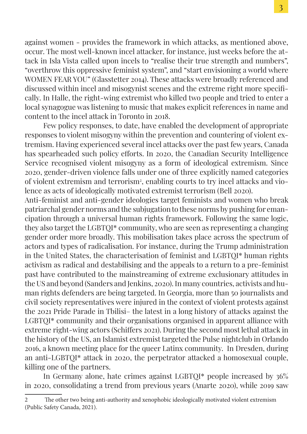against women - provides the framework in which attacks, as mentioned above, occur. The most well-known incel attacker, for instance, just weeks before the attack in Isla Vista called upon incels to "realise their true strength and numbers", "overthrow this oppressive feminist system", and "start envisioning a world where WOMEN FEAR YOU" (Glasstetter 2014). These attacks were broadly referenced and discussed within incel and misogynist scenes and the extreme right more specifically. In Halle, the right-wing extremist who killed two people and tried to enter a local synagogue was listening to music that makes explicit references in name and content to the incel attack in Toronto in 2018.

Few policy responses, to date, have enabled the development of appropriate responses to violent misogyny within the prevention and countering of violent extremism. Having experienced several incel attacks over the past few years, Canada has spearheaded such policy efforts. In 2020, the Canadian Security Intelligence Service recognised violent misogyny as a form of ideological extremism. Since 2020, gender-driven violence falls under one of three explicitly named categories of violent extremism and terrorism<sup>2</sup>, enabling courts to try incel attacks and violence as acts of ideologically motivated extremist terrorism (Bell 2020).

Anti-feminist and anti-gender ideologies target feminists and women who break patriarchal gender norms and the subjugation to these norms by pushing for emancipation through a universal human rights framework. Following the same logic, they also target the LGBTQI\* community, who are seen as representing a changing gender order more broadly. This mobilisation takes place across the spectrum of actors and types of radicalisation. For instance, during the Trump administration in the United States, the characterisation of feminist and LGBTQI\* human rights activism as radical and destabilising and the appeals to a return to a pre-feminist past have contributed to the mainstreaming of extreme exclusionary attitudes in the US and beyond (Sanders and Jenkins, 2020). In many countries, activists and human rights defenders are being targeted. In Georgia, more than 50 journalists and civil society representatives were injured in the context of violent protests against the 2021 Pride Parade in Tbilisi– the latest in a long history of attacks against the LGBTQI\* community and their organisations organised in apparent alliance with extreme right-wing actors (Schiffers 2021). During the second most lethal attack in the history of the US, an Islamist extremist targeted the Pulse nightclub in Orlando 2016, a known meeting place for the queer Latinx community. In Dresden, during an anti-LGBTQI\* attack in 2020, the perpetrator attacked a homosexual couple, killing one of the partners.

In Germany alone, hate crimes against LGBTQI\* people increased by 36% in 2020, consolidating a trend from previous years (Anarte 2020), while 2019 saw

<sup>2</sup> The other two being anti-authority and xenophobic ideologically motivated violent extremism (Public Safety Canada, 2021).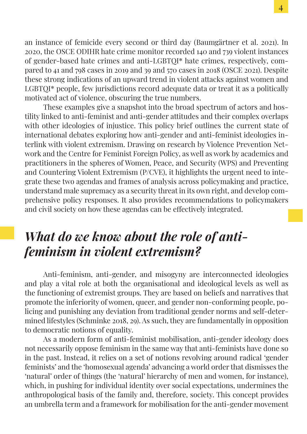an instance of femicide every second or third day (Baumgärtner et al. 2021). In 2020, the OSCE ODIHR hate crime monitor recorded 140 and 739 violent instances of gender-based hate crimes and anti-LGBTQI\* hate crimes, respectively, compared to 41 and 798 cases in 2019 and 39 and 570 cases in 2018 (OSCE 2021). Despite these strong indications of an upward trend in violent attacks against women and LGBTOI<sup>\*</sup> people, few jurisdictions record adequate data or treat it as a politically motivated act of violence, obscuring the true numbers.

These examples give a snapshot into the broad spectrum of actors and hostility linked to anti-feminist and anti-gender attitudes and their complex overlaps with other ideologies of injustice. This policy brief outlines the current state of international debates exploring how anti-gender and anti-feminist ideologies interlink with violent extremism. Drawing on research by Violence Prevention Network and the Centre for Feminist Foreign Policy, as well as work by academics and practitioners in the spheres of Women, Peace, and Security (WPS) and Preventing and Countering Violent Extremism (P/CVE), it highlights the urgent need to integrate these two agendas and frames of analysis across policymaking and practice, understand male supremacy as a security threat in its own right, and develop comprehensive policy responses. It also provides recommendations to policymakers and civil society on how these agendas can be effectively integrated.

## *What do we know about the role of antifeminism in violent extremism?*

Anti-feminism, anti-gender, and misogyny are interconnected ideologies and play a vital role at both the organisational and ideological levels as well as the functioning of extremist groups. They are based on beliefs and narratives that promote the inferiority of women, queer, and gender non-conforming people, policing and punishing any deviation from traditional gender norms and self-determined lifestyles (Schminke 2018, 29). As such, they are fundamentally in opposition to democratic notions of equality.

As a modern form of anti-feminist mobilisation, anti-gender ideology does not necessarily oppose feminism in the same way that anti-feminists have done so in the past. Instead, it relies on a set of notions revolving around radical 'gender feminists' and the 'homosexual agenda' advancing a world order that dismisses the 'natural' order of things (the 'natural' hierarchy of men and women, for instance), which, in pushing for individual identity over social expectations, undermines the anthropological basis of the family and, therefore, society. This concept provides an umbrella term and a framework for mobilisation for the anti-gender movement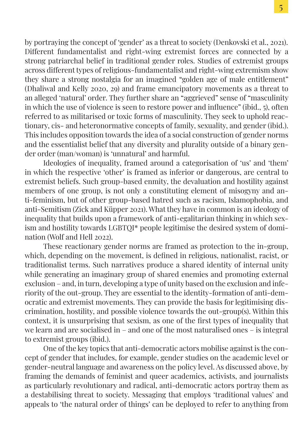by portraying the concept of 'gender' as a threat to society (Denkovski et al., 2021). Different fundamentalist and right-wing extremist forces are connected by a strong patriarchal belief in traditional gender roles. Studies of extremist groups across different types of religious-fundamentalist and right-wing extremism show they share a strong nostalgia for an imagined "golden age of male entitlement" (Dhaliwal and Kelly 2020, 29) and frame emancipatory movements as a threat to an alleged 'natural' order. They further share an "aggrieved" sense of "masculinity in which the use of violence is seen to restore power and influence" (ibid., 5), often referred to as militarised or toxic forms of masculinity. They seek to uphold reactionary, cis- and heteronormative concepts of family, sexuality, and gender (ibid.). This includes opposition towards the idea of a social construction of gender norms and the essentialist belief that any diversity and plurality outside of a binary gender order (man/woman) is 'unnatural' and harmful.

Ideologies of inequality, framed around a categorisation of 'us' and 'them' in which the respective 'other' is framed as inferior or dangerous, are central to extremist beliefs. Such group-based enmity, the devaluation and hostility against members of one group, is not only a constituting element of misogyny and anti-feminism, but of other group-based hatred such as racism, Islamophobia, and anti-Semitism (Zick and Küpper 2021). What they have in common is an ideology of inequality that builds upon a framework of anti-egalitarian thinking in which sexism and hostility towards LGBTQI\* people legitimise the desired system of domination (Wolf and Hell 2022).

These reactionary gender norms are framed as protection to the in-group, which, depending on the movement, is defined in religious, nationalist, racist, or traditionalist terms. Such narratives produce a shared identity of internal unity while generating an imaginary group of shared enemies and promoting external exclusion – and, in turn, developing a type of unity based on the exclusion and inferiority of the out-group. They are essential to the identity-formation of anti-democratic and extremist movements. They can provide the basis for legitimising discrimination, hostility, and possible violence towards the out-group(s). Within this context, it is unsurprising that sexism, as one of the first types of inequality that we learn and are socialised in – and one of the most naturalised ones – is integral to extremist groups (ibid.).

One of the key topics that anti-democratic actors mobilise against is the concept of gender that includes, for example, gender studies on the academic level or gender-neutral language and awareness on the policy level. As discussed above, by framing the demands of feminist and queer academics, activists, and journalists as particularly revolutionary and radical, anti-democratic actors portray them as a destabilising threat to society. Messaging that employs 'traditional values' and appeals to 'the natural order of things' can be deployed to refer to anything from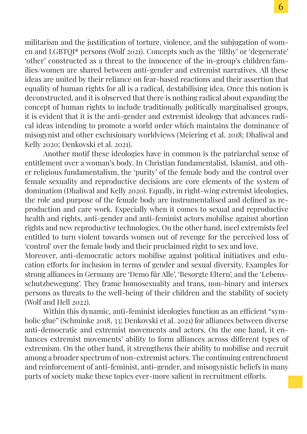militarism and the justification of torture, violence, and the subjugation of women and LGBTQI\* persons (Wolf 2021). Concepts such as the 'filthy' or 'degenerate' 'other' constructed as a threat to the innocence of the in-group's children/families/women are shared between anti-gender and extremist narratives. All these ideas are united by their reliance on fear-based reactions and their assertion that equality of human rights for all is a radical, destabilising idea. Once this notion is deconstructed, and it is observed that there is nothing radical about expanding the concept of human rights to include traditionally politically marginalised groups, it is evident that it is the anti-gender and extremist ideology that advances radical ideas intending to promote a world order which maintains the dominance of misogynist and other exclusionary worldviews (Meiering et al. 2018; Dhaliwal and Kelly 2020; Denkovski et al. 2021).

Another motif these ideologies have in common is the patriarchal sense of entitlement over a woman's body. In Christian fundamentalist, Islamist, and other religious fundamentalism, the 'purity' of the female body and the control over female sexuality and reproductive decisions are core elements of the system of domination (Dhaliwal and Kelly 2020). Equally, in right-wing extremist ideologies, the role and purpose of the female body are instrumentalised and defined as reproduction and care work. Especially when it comes to sexual and reproductive health and rights, anti-gender and anti-feminist actors mobilise against abortion rights and new reproductive technologies. On the other hand, incel extremists feel entitled to turn violent towards women out of revenge for the perceived loss of 'control' over the female body and their proclaimed right to sex and love.

Moreover, anti-democratic actors mobilise against political initiatives and education efforts for inclusion in terms of gender and sexual diversity. Examples for strong alliances in Germany are 'Demo für Alle', 'Besorgte Eltern', and the 'Lebensschutzbewegung'. They frame homosexuality and trans, non-binary and intersex persons as threats to the well-being of their children and the stability of society (Wolf and Hell 2022).

Within this dynamic, anti-feminist ideologies function as an efficient "symbolic glue" (Schminke 2018, 33; Denkovski et al. 2021) for alliances between diverse anti-democratic and extremist movements and actors. On the one hand, it enhances extremist movements' ability to form alliances across different types of extremism. On the other hand, it strengthens their ability to mobilise and recruit among a broader spectrum of non-extremist actors. The continuing entrenchment and reinforcement of anti-feminist, anti-gender, and misogynistic beliefs in many parts of society make these topics ever-more salient in recruitment efforts.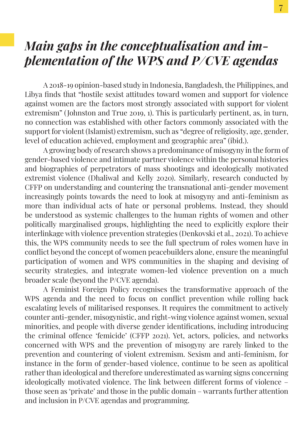### *Main gaps in the conceptualisation and implementation of the WPS and P/CVE agendas*

A 2018-19 opinion-based study in Indonesia, Bangladesh, the Philippines, and Libya finds that "hostile sexist attitudes toward women and support for violence against women are the factors most strongly associated with support for violent extremism" ( Johnston and True 2019, 1). This is particularly pertinent, as, in turn, no connection was established with other factors commonly associated with the support for violent (Islamist) extremism, such as "degree of religiosity, age, gender, level of education achieved, employment and geographic area" (ibid.).

A growing body of research shows a predominance of misogyny in the form of gender-based violence and intimate partner violence within the personal histories and biographies of perpetrators of mass shootings and ideologically motivated extremist violence (Dhaliwal and Kelly 2020). Similarly, research conducted by CFFP on understanding and countering the transnational anti-gender movement increasingly points towards the need to look at misogyny and anti-feminism as more than individual acts of hate or personal problems. Instead, they should be understood as systemic challenges to the human rights of women and other politically marginalised groups, highlighting the need to explicitly explore their interlinkage with violence prevention strategies (Denkovski et al., 2021). To achieve this, the WPS community needs to see the full spectrum of roles women have in conflict beyond the concept of women peacebuilders alone, ensure the meaningful participation of women and WPS communities in the shaping and devising of security strategies, and integrate women-led violence prevention on a much broader scale (beyond the P/CVE agenda).

A Feminist Foreign Policy recognises the transformative approach of the WPS agenda and the need to focus on conflict prevention while rolling back escalating levels of militarised responses. It requires the commitment to actively counter anti-gender, misogynistic, and right-wing violence against women, sexual minorities, and people with diverse gender identifications, including introducing the criminal offence 'femicide' (CFFP 2021). Yet, actors, policies, and networks concerned with WPS and the prevention of misogyny are rarely linked to the prevention and countering of violent extremism. Sexism and anti-feminism, for instance in the form of gender-based violence, continue to be seen as apolitical rather than ideological and therefore underestimated as warning signs concerning ideologically motivated violence. The link between different forms of violence – those seen as 'private' and those in the public domain – warrants further attention and inclusion in P/CVE agendas and programming.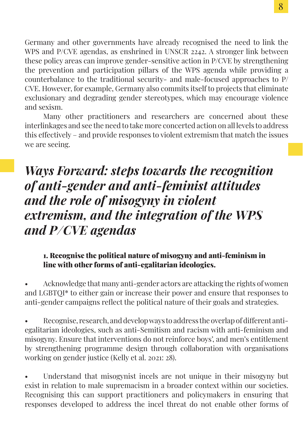Germany and other governments have already recognised the need to link the WPS and P/CVE agendas, as enshrined in UNSCR 2242. A stronger link between these policy areas can improve gender-sensitive action in P/CVE by strengthening the prevention and participation pillars of the WPS agenda while providing a counterbalance to the traditional security- and male-focused approaches to P/ CVE. However, for example, Germany also commits itself to projects that eliminate exclusionary and degrading gender stereotypes, which may encourage violence and sexism.

Many other practitioners and researchers are concerned about these interlinkages and see the need to take more concerted action on all levels to address this effectively – and provide responses to violent extremism that match the issues we are seeing.

# *Ways Forward: steps towards the recognition of anti-gender and anti-feminist attitudes and the role of misogyny in violent extremism, and the integration of the WPS and P/CVE agendas*

#### 1. Recognise the political nature of misogyny and anti-feminism in line with other forms of anti-egalitarian ideologies.

• Acknowledge that many anti-gender actors are attacking the rights of women and LGBTQI\* to either gain or increase their power and ensure that responses to anti-gender campaigns reflect the political nature of their goals and strategies.

• Recognise, research, and develop ways to address the overlap of different antiegalitarian ideologies, such as anti-Semitism and racism with anti-feminism and misogyny. Ensure that interventions do not reinforce boys', and men's entitlement by strengthening programme design through collaboration with organisations working on gender justice (Kelly et al. 2021: 28).

• Understand that misogynist incels are not unique in their misogyny but exist in relation to male supremacism in a broader context within our societies. Recognising this can support practitioners and policymakers in ensuring that responses developed to address the incel threat do not enable other forms of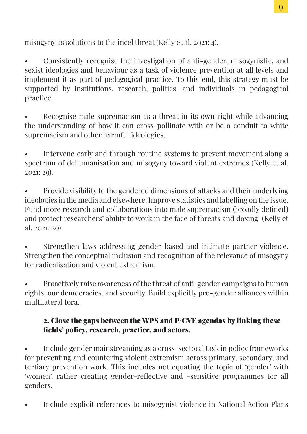misogyny as solutions to the incel threat (Kelly et al. 2021: 4).

• Consistently recognise the investigation of anti-gender, misogynistic, and sexist ideologies and behaviour as a task of violence prevention at all levels and implement it as part of pedagogical practice. To this end, this strategy must be supported by institutions, research, politics, and individuals in pedagogical practice.

• Recognise male supremacism as a threat in its own right while advancing the understanding of how it can cross-pollinate with or be a conduit to white supremacism and other harmful ideologies.

• Intervene early and through routine systems to prevent movement along a spectrum of dehumanisation and misogyny toward violent extremes (Kelly et al. 2021: 29).

• Provide visibility to the gendered dimensions of attacks and their underlying ideologies in the media and elsewhere. Improve statistics and labelling on the issue. Fund more research and collaborations into male supremacism (broadly defined) and protect researchers' ability to work in the face of threats and doxing (Kelly et al. 2021: 30).

• Strengthen laws addressing gender-based and intimate partner violence. Strengthen the conceptual inclusion and recognition of the relevance of misogyny for radicalisation and violent extremism.

• Proactively raise awareness of the threat of anti-gender campaigns to human rights, our democracies, and security. Build explicitly pro-gender alliances within multilateral fora.

#### 2. Close the gaps between the WPS and P/CVE agendas by linking these fields' policy, research, practice, and actors.

• Include gender mainstreaming as a cross-sectoral task in policy frameworks for preventing and countering violent extremism across primary, secondary, and tertiary prevention work. This includes not equating the topic of 'gender' with 'women', rather creating gender-reflective and -sensitive programmes for all genders.

• Include explicit references to misogynist violence in National Action Plans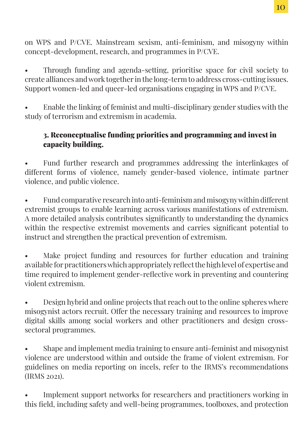on WPS and P/CVE. Mainstream sexism, anti-feminism, and misogyny within concept-development, research, and programmes in P/CVE.

• Through funding and agenda-setting, prioritise space for civil society to create alliances and work together in the long-term to address cross-cutting issues. Support women-led and queer-led organisations engaging in WPS and P/CVE.

• Enable the linking of feminist and multi-disciplinary gender studies with the study of terrorism and extremism in academia.

### 3. Reconceptualise funding priorities and programming and invest in capacity building.

• Fund further research and programmes addressing the interlinkages of different forms of violence, namely gender-based violence, intimate partner violence, and public violence.

• Fund comparative research into anti-feminism and misogyny within different extremist groups to enable learning across various manifestations of extremism. A more detailed analysis contributes significantly to understanding the dynamics within the respective extremist movements and carries significant potential to instruct and strengthen the practical prevention of extremism.

Make project funding and resources for further education and training available for practitioners which appropriately reflect the high level of expertise and time required to implement gender-reflective work in preventing and countering violent extremism.

• Design hybrid and online projects that reach out to the online spheres where misogynist actors recruit. Offer the necessary training and resources to improve digital skills among social workers and other practitioners and design crosssectoral programmes.

• Shape and implement media training to ensure anti-feminist and misogynist violence are understood within and outside the frame of violent extremism. For guidelines on media reporting on incels, refer to the IRMS's recommendations (IRMS 2021).

• Implement support networks for researchers and practitioners working in this field, including safety and well-being programmes, toolboxes, and protection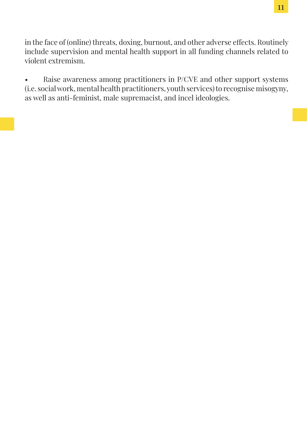in the face of (online) threats, doxing, burnout, and other adverse effects. Routinely include supervision and mental health support in all funding channels related to violent extremism.

• Raise awareness among practitioners in P/CVE and other support systems (i.e. social work, mental health practitioners, youth services) to recognise misogyny, as well as anti-feminist, male supremacist, and incel ideologies.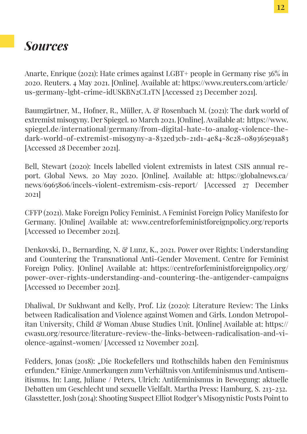# *Sources*

Anarte, Enrique (2021): Hate crimes against LGBT+ people in Germany rise 36% in 2020. Reuters. 4 May 2021. [Online]. Available at: https://www.reuters.com/article/ us-germany-lgbt-crime-idUSKBN2CL1TN [Accessed 23 December 2021].

Baumgärtner, M., Hofner, R., Müller, A. & Rosenbach M. (2021): The dark world of extremist misogyny. Der Spiegel. 10 March 2021. [Online]. Available at: https://www. spiegel.de/international/germany/from-digital-hate-to-analog-violence-thedark-world-of-extremist-misogyny-a-832ed3cb-21d1-4e84-8c28-089365e91a83 [Accessed 28 December 2021].

Bell, Stewart (2020): Incels labelled violent extremists in latest CSIS annual report. Global News. 20 May 2020. [Online]. Available at: https://globalnews.ca/ news/6965806/incels-violent-extremism-csis-report/ [Accessed 27 December 2021]

CFFP (2021). Make Foreign Policy Feminist. A Feminist Foreign Policy Manifesto for Germany. [Online] Available at: www.centreforfeministforeignpolicy.org/reports [Accessed 10 December 2021].

Denkovski, D., Bernarding, N. & Lunz, K., 2021. Power over Rights: Understanding and Countering the Transnational Anti-Gender Movement. Centre for Feminist Foreign Policy. [Online] Available at: https://centreforfeministforeignpolicy.org/ power-over-rights-understanding-and-countering-the-antigender-campaigns [Accessed 10 December 2021].

Dhaliwal, Dr Sukhwant and Kelly, Prof. Liz (2020): Literature Review: The Links between Radicalisation and Violence against Women and Girls. London Metropolitan University, Child & Woman Abuse Studies Unit. [Online] Available at: https:// cwasu.org/resource/literature-review-the-links-between-radicalisation-and-violence-against-women/ [Accessed 12 November 2021].

Fedders, Jonas (2018): "Die Rockefellers und Rothschilds haben den Feminismus erfunden." Einige Anmerkungen zum Verhältnis von Antifeminismus und Antisemitismus. In: Lang, Juliane / Peters, Ulrich: Antifeminismus in Bewegung: aktuelle Debatten um Geschlecht und sexuelle Vielfalt. Martha Press: Hamburg, S. 213-232. Glasstetter, Josh (2014): Shooting Suspect Elliot Rodger's Misogynistic Posts Point to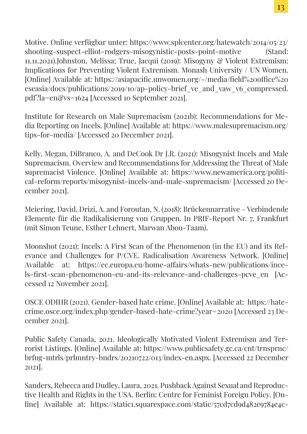Motive. Online verfügbar unter: https://www.splcenter.org/hatewatch/2014/05/23/ shooting-suspect-elliot-rodgers-misogynistic-posts-point-motive (Stand: 11.11.2021).Johnston, Melissa; True, Jacqui (2019): Misogyny & Violent Extremism: Implications for Preventing Violent Extremism. Monash University / UN Women. [Online] Available at: https://asiapacific.unwomen.org/-/media/field%20office%20 eseasia/docs/publications/2019/10/ap-policy-brief ve and vaw v6 compressed. pdf?la=en&vs=1624 [Accessed 10 September 2021].

Institute for Research on Male Supremacism (2021b): Recommendations for Media Reporting on Incels. [Online] Available at: https://www.malesupremacism.org/ tips-for-media/ [Accessed 20 December 2021].

Kelly, Megan, DiBranco, A. and DeCook Dr J.R. (2021): Misogynist Incels and Male Supremacism. Overview and Recommendations for Addressing the Threat of Male supremacist Violence. [Online] Available at: https://www.newamerica.org/political-reform/reports/misogynist-incels-and-male-supremacism/ [Accessed 20 December 2021].

Meiering, David, Drizi, A. and Foroutan, N. (2018): Brückennarrative – Verbindende Elemente für die Radikalisierung von Gruppen. In PRIF-Report Nr. 7, Frankfurt (mit Simon Teune, Esther Lehnert, Marwan Abou-Taam).

Moonshot (2021): Incels: A First Scan of the Phenomenon (in the EU) and its Relevance and Challenges for P/CVE. Radicalisation Awareness Network. [Online] Available at: https://ec.europa.eu/home-affairs/whats-new/publications/incels-first-scan-phenomenon-eu-and-its-relevance-and-challenges-pcve\_en [Accessed 12 November 2021].

OSCE ODIHR (2021). Gender-based hate crime. [Online] Available at: https://hatecrime.osce.org/index.php/gender-based-hate-crime?year=2020 [Accessed 23 December 2021].

Public Safety Canada, 2021. Ideologically Motivated Violent Extremism and Terrorist Listings. [Online] Available at: https://www.publicsafety.gc.ca/cnt/trnsprnc/ brfng-mtrls/prlmntry-bndrs/20210722/013/index-en.aspx. [Accessed 22 December 2021].

Sanders, Rebecca and Dudley, Laura, 2021. Pushback Against Sexual and Reproductive Health and Rights in the USA. Berlin: Centre for Feminist Foreign Policy. [Online] Available at: https://static1.squarespace.com/static/57cd7cd9d482e9784e4c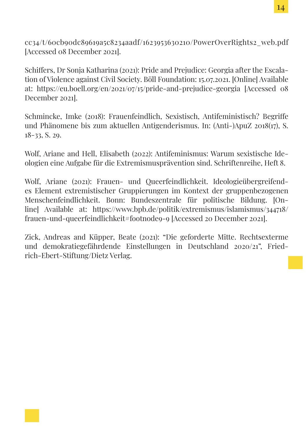cc34/t/60cb90dc89619a5c8234aadf/1623953630210/PowerOverRights2\_web.pdf [Accessed 08 December 2021].

Schiffers, Dr Sonja Katharina (2021): Pride and Prejudice: Georgia after the Escalation of Violence against Civil Society. Böll Foundation: 15.07.2021. [Online] Available at: https://eu.boell.org/en/2021/07/15/pride-and-prejudice-georgia [Accessed 08 December 2021].

Schmincke, Imke (2018): Frauenfeindlich, Sexistisch, Antifeministisch? Begriffe und Phänomene bis zum aktuellen Antigenderismus. In: (Anti-)ApuZ 2018(17), S. 18-33, S. 29.

Wolf, Ariane and Hell, Elisabeth (2022): Antifeminismus: Warum sexistische Ideologien eine Aufgabe für die Extremismusprävention sind. Schriftenreihe, Heft 8.

Wolf, Ariane (2021): Frauen- und Queerfeindlichkeit. Ideologieübergreifendes Element extremistischer Gruppierungen im Kontext der gruppenbezogenen Menschenfeindlichkeit. Bonn: Bundeszentrale für politische Bildung. [Online] Available at: https://www.bpb.de/politik/extremismus/islamismus/344718/ frauen-und-queerfeindlichkeit#footnode9-9 [Accessed 20 December 2021].

Zick, Andreas and Küpper, Beate (2021): "Die geforderte Mitte. Rechtsexterme und demokratiegefährdende Einstellungen in Deutschland 2020/21", Friedrich-Ebert-Stiftung/Dietz Verlag.